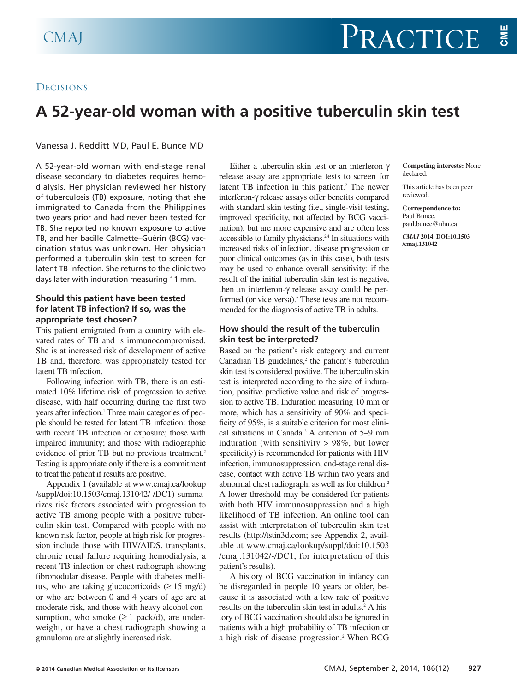## **DECISIONS**

# **A 52-year-old woman with a positive tuberculin skin test**

Vanessa J. Redditt MD, Paul E. Bunce MD

A 52-year-old woman with end-stage renal disease secondary to diabetes requires hemodialysis. Her physician reviewed her history of tuberculosis (TB) exposure, noting that she immigrated to Canada from the Philippines two years prior and had never been tested for TB. She reported no known exposure to active TB, and her bacille Calmette–Guérin (BCG) vaccination status was unknown. Her physician performed a tuberculin skin test to screen for latent TB infection. She returns to the clinic two days later with induration measuring 11 mm.

## **Should this patient have been tested for latent TB infection? If so, was the appropriate test chosen?**

This patient emigrated from a country with elevated rates of TB and is immunocompromised. She is at increased risk of development of active TB and, therefore, was appropriately tested for latent TB infection.

Following infection with TB, there is an estimated 10% lifetime risk of progression to active disease, with half occurring during the first two years after infection. <sup>1</sup> Three main categories of people should be tested for latent TB infection: those with recent TB infection or exposure; those with impaired immunity; and those with radiographic evidence of prior TB but no previous treatment. 2 Testing is appropriate only if there is a commitment to treat the patient if results are positive.

Appendix 1 (available at www.cmaj.ca/lookup /suppl/doi:10.1503/cmaj.131042/-/DC1) summarizes risk factors associated with progression to active TB among people with a positive tuberculin skin test. Compared with people with no known risk factor, people at high risk for progression include those with HIV/AIDS, transplants, chronic renal failure requiring hemodialysis, a recent TB infection or chest radiograph showing fibronodular disease. People with diabetes mellitus, who are taking glucocorticoids  $(≥ 15 \text{ mg/d})$ or who are between 0 and 4 years of age are at moderate risk, and those with heavy alcohol consumption, who smoke  $(\geq 1$  pack/d), are underweight, or have a chest radiograph showing a granuloma are at slightly increased risk.

Either a tuberculin skin test or an interferon-γ release assay are appropriate tests to screen for latent TB infection in this patient. <sup>2</sup> The newer interferon-γ release assays offer benefits compared with standard skin testing (i.e., single-visit testing, improved specificity, not affected by BCG vaccination), but are more expensive and are often less accessible to family physicians.<sup>24</sup> In situations with increased risks of infection, disease progression or poor clinical outcomes (as in this case), both tests may be used to enhance overall sensitivity: if the result of the initial tuberculin skin test is negative, then an interferon-γ release assay could be performed (or vice versa). <sup>2</sup> These tests are not recommended for the diagnosis of active TB in adults.

## **How should the result of the tuberculin skin test be interpreted?**

Based on the patient's risk category and current Canadian TB guidelines, <sup>2</sup> the patient's tuberculin skin test is considered positive. The tuberculin skin test is interpreted according to the size of induration, positive predictive value and risk of progression to active TB. Induration measuring 10 mm or more, which has a sensitivity of 90% and specificity of 95%, is a suitable criterion for most clinical situations in Canada. <sup>2</sup> A criterion of 5–9 mm induration (with sensitivity > 98%, but lower specificity) is recommended for patients with HIV infection, immunosuppression, end-stage renal disease, contact with active TB within two years and abnormal chest radiograph, as well as for children. 2 A lower threshold may be considered for patients with both HIV immunosuppression and a high likelihood of TB infection. An online tool can assist with interpretation of tuberculin skin test results (http://tstin3d.com; see Appendix 2, available at www.cmaj.ca/lookup/suppl/doi:10.1503 /cmaj.131042/-/DC1, for interpretation of this patient's results).

A history of BCG vaccination in infancy can be disregarded in people 10 years or older, because it is associated with a low rate of positive results on the tuberculin skin test in adults. <sup>2</sup> A history of BCG vaccination should also be ignored in patients with a high probability of TB infection or a high risk of disease progression. <sup>2</sup> When BCG

#### **Competing interests:** None declared.

This article has been peer reviewed.

#### **Correspondence to:** Paul Bunce, paul.bunce@uhn.ca *CMAJ* **2014. DOI:10.1503 /cmaj.131042**